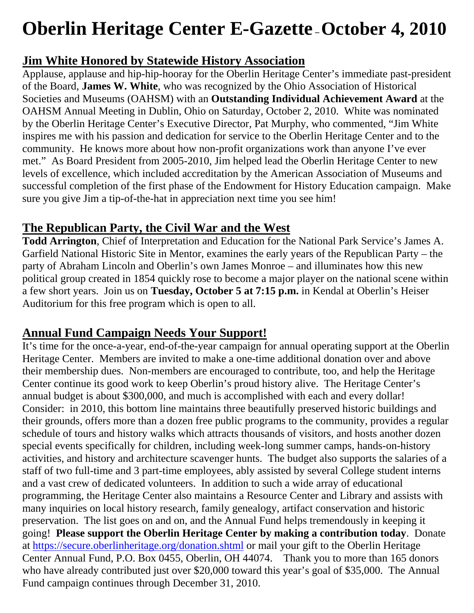# **Oberlin Heritage Center E-Gazette – October 4, 2010**

## **Jim White Honored by Statewide History Association**

Applause, applause and hip-hip-hooray for the Oberlin Heritage Center's immediate past-president of the Board, **James W. White**, who was recognized by the Ohio Association of Historical Societies and Museums (OAHSM) with an **Outstanding Individual Achievement Award** at the OAHSM Annual Meeting in Dublin, Ohio on Saturday, October 2, 2010. White was nominated by the Oberlin Heritage Center's Executive Director, Pat Murphy, who commented, "Jim White inspires me with his passion and dedication for service to the Oberlin Heritage Center and to the community. He knows more about how non-profit organizations work than anyone I've ever met." As Board President from 2005-2010, Jim helped lead the Oberlin Heritage Center to new levels of excellence, which included accreditation by the American Association of Museums and successful completion of the first phase of the Endowment for History Education campaign. Make sure you give Jim a tip-of-the-hat in appreciation next time you see him!

# **The Republican Party, the Civil War and the West**

**Todd Arrington**, Chief of Interpretation and Education for the National Park Service's James A. Garfield National Historic Site in Mentor, examines the early years of the Republican Party – the party of Abraham Lincoln and Oberlin's own James Monroe – and illuminates how this new political group created in 1854 quickly rose to become a major player on the national scene within a few short years. Join us on **Tuesday, October 5 at 7:15 p.m.** in Kendal at Oberlin's Heiser Auditorium for this free program which is open to all.

# **Annual Fund Campaign Needs Your Support!**

It's time for the once-a-year, end-of-the-year campaign for annual operating support at the Oberlin Heritage Center. Members are invited to make a one-time additional donation over and above their membership dues. Non-members are encouraged to contribute, too, and help the Heritage Center continue its good work to keep Oberlin's proud history alive. The Heritage Center's annual budget is about \$300,000, and much is accomplished with each and every dollar! Consider: in 2010, this bottom line maintains three beautifully preserved historic buildings and their grounds, offers more than a dozen free public programs to the community, provides a regular schedule of tours and history walks which attracts thousands of visitors, and hosts another dozen special events specifically for children, including week-long summer camps, hands-on-history activities, and history and architecture scavenger hunts. The budget also supports the salaries of a staff of two full-time and 3 part-time employees, ably assisted by several College student interns and a vast crew of dedicated volunteers. In addition to such a wide array of educational programming, the Heritage Center also maintains a Resource Center and Library and assists with many inquiries on local history research, family genealogy, artifact conservation and historic preservation. The list goes on and on, and the Annual Fund helps tremendously in keeping it going! **Please support the Oberlin Heritage Center by making a contribution today**. Donate at https://secure.oberlinheritage.org/donation.shtml or mail your gift to the Oberlin Heritage Center Annual Fund, P.O. Box 0455, Oberlin, OH 44074. Thank you to more than 165 donors who have already contributed just over \$20,000 toward this year's goal of \$35,000. The Annual Fund campaign continues through December 31, 2010.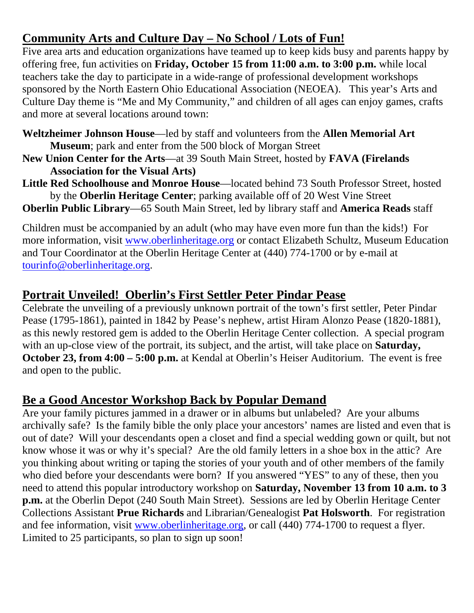# **Community Arts and Culture Day – No School / Lots of Fun!**

Five area arts and education organizations have teamed up to keep kids busy and parents happy by offering free, fun activities on **Friday, October 15 from 11:00 a.m. to 3:00 p.m.** while local teachers take the day to participate in a wide-range of professional development workshops sponsored by the North Eastern Ohio Educational Association (NEOEA). This year's Arts and Culture Day theme is "Me and My Community," and children of all ages can enjoy games, crafts and more at several locations around town:

**Weltzheimer Johnson House**—led by staff and volunteers from the **Allen Memorial Art Museum**; park and enter from the 500 block of Morgan Street

- **New Union Center for the Arts**—at 39 South Main Street, hosted by **FAVA (Firelands Association for the Visual Arts)**
- **Little Red Schoolhouse and Monroe House**—located behind 73 South Professor Street, hosted by the **Oberlin Heritage Center**; parking available off of 20 West Vine Street

**Oberlin Public Library**—65 South Main Street, led by library staff and **America Reads** staff

Children must be accompanied by an adult (who may have even more fun than the kids!) For more information, visit www.oberlinheritage.org or contact Elizabeth Schultz, Museum Education and Tour Coordinator at the Oberlin Heritage Center at (440) 774-1700 or by e-mail at tourinfo@oberlinheritage.org.

#### **Portrait Unveiled! Oberlin's First Settler Peter Pindar Pease**

Celebrate the unveiling of a previously unknown portrait of the town's first settler, Peter Pindar Pease (1795-1861), painted in 1842 by Pease's nephew, artist Hiram Alonzo Pease (1820-1881), as this newly restored gem is added to the Oberlin Heritage Center collection. A special program with an up-close view of the portrait, its subject, and the artist, will take place on **Saturday, October 23, from 4:00 – 5:00 p.m.** at Kendal at Oberlin's Heiser Auditorium. The event is free and open to the public.

#### **Be a Good Ancestor Workshop Back by Popular Demand**

Are your family pictures jammed in a drawer or in albums but unlabeled? Are your albums archivally safe? Is the family bible the only place your ancestors' names are listed and even that is out of date? Will your descendants open a closet and find a special wedding gown or quilt, but not know whose it was or why it's special? Are the old family letters in a shoe box in the attic? Are you thinking about writing or taping the stories of your youth and of other members of the family who died before your descendants were born? If you answered "YES" to any of these, then you need to attend this popular introductory workshop on **Saturday, November 13 from 10 a.m. to 3 p.m.** at the Oberlin Depot (240 South Main Street). Sessions are led by Oberlin Heritage Center Collections Assistant **Prue Richards** and Librarian/Genealogist **Pat Holsworth**. For registration and fee information, visit www.oberlinheritage.org, or call (440) 774-1700 to request a flyer. Limited to 25 participants, so plan to sign up soon!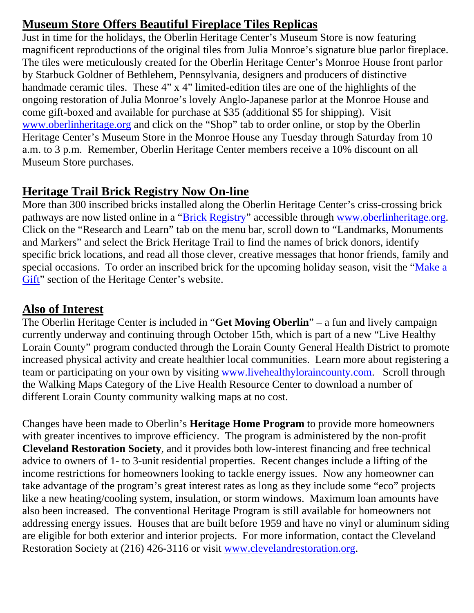# **Museum Store Offers Beautiful Fireplace Tiles Replicas**

Just in time for the holidays, the Oberlin Heritage Center's Museum Store is now featuring magnificent reproductions of the original tiles from Julia Monroe's signature blue parlor fireplace. The tiles were meticulously created for the Oberlin Heritage Center's Monroe House front parlor by Starbuck Goldner of Bethlehem, Pennsylvania, designers and producers of distinctive handmade ceramic tiles. These 4" x 4" limited-edition tiles are one of the highlights of the ongoing restoration of Julia Monroe's lovely Anglo-Japanese parlor at the Monroe House and come gift-boxed and available for purchase at \$35 (additional \$5 for shipping). Visit www.oberlinheritage.org and click on the "Shop" tab to order online, or stop by the Oberlin Heritage Center's Museum Store in the Monroe House any Tuesday through Saturday from 10 a.m. to 3 p.m. Remember, Oberlin Heritage Center members receive a 10% discount on all Museum Store purchases.

## **Heritage Trail Brick Registry Now On-line**

More than 300 inscribed bricks installed along the Oberlin Heritage Center's criss-crossing brick pathways are now listed online in a "Brick Registry" accessible through www.oberlinheritage.org. Click on the "Research and Learn" tab on the menu bar, scroll down to "Landmarks, Monuments and Markers" and select the Brick Heritage Trail to find the names of brick donors, identify specific brick locations, and read all those clever, creative messages that honor friends, family and special occasions. To order an inscribed brick for the upcoming holiday season, visit the "Make a Gift" section of the Heritage Center's website.

#### **Also of Interest**

The Oberlin Heritage Center is included in "**Get Moving Oberlin**" – a fun and lively campaign currently underway and continuing through October 15th, which is part of a new "Live Healthy Lorain County" program conducted through the Lorain County General Health District to promote increased physical activity and create healthier local communities. Learn more about registering a team or participating on your own by visiting www.livehealthyloraincounty.com. Scroll through the Walking Maps Category of the Live Health Resource Center to download a number of different Lorain County community walking maps at no cost.

Changes have been made to Oberlin's **Heritage Home Program** to provide more homeowners with greater incentives to improve efficiency. The program is administered by the non-profit **Cleveland Restoration Society**, and it provides both low-interest financing and free technical advice to owners of 1- to 3-unit residential properties. Recent changes include a lifting of the income restrictions for homeowners looking to tackle energy issues. Now any homeowner can take advantage of the program's great interest rates as long as they include some "eco" projects like a new heating/cooling system, insulation, or storm windows. Maximum loan amounts have also been increased. The conventional Heritage Program is still available for homeowners not addressing energy issues. Houses that are built before 1959 and have no vinyl or aluminum siding are eligible for both exterior and interior projects. For more information, contact the Cleveland Restoration Society at (216) 426-3116 or visit www.clevelandrestoration.org.